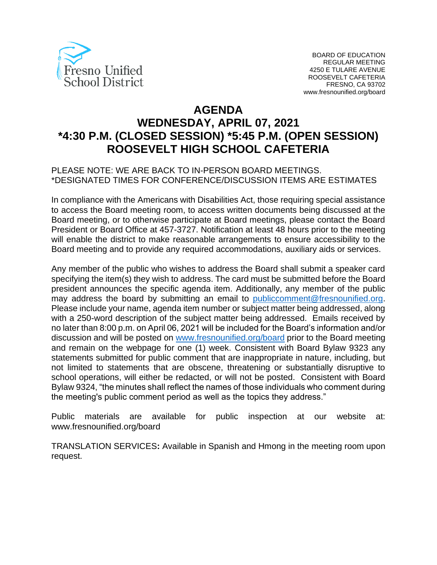

# **AGENDA WEDNESDAY, APRIL 07, 2021 \*4:30 P.M. (CLOSED SESSION) \*5:45 P.M. (OPEN SESSION) ROOSEVELT HIGH SCHOOL CAFETERIA**

#### PLEASE NOTE: WE ARE BACK TO IN-PERSON BOARD MEETINGS. \*DESIGNATED TIMES FOR CONFERENCE/DISCUSSION ITEMS ARE ESTIMATES

In compliance with the Americans with Disabilities Act, those requiring special assistance to access the Board meeting room, to access written documents being discussed at the Board meeting, or to otherwise participate at Board meetings, please contact the Board President or Board Office at 457-3727. Notification at least 48 hours prior to the meeting will enable the district to make reasonable arrangements to ensure accessibility to the Board meeting and to provide any required accommodations, auxiliary aids or services.

Any member of the public who wishes to address the Board shall submit a speaker card specifying the item(s) they wish to address. The card must be submitted before the Board president announces the specific agenda item. Additionally, any member of the public may address the board by submitting an email to [publiccomment@fresnounified.org.](mailto:publiccomment@fresnounified.org) Please include your name, agenda item number or subject matter being addressed, along with a 250-word description of the subject matter being addressed. Emails received by no later than 8:00 p.m. on April 06, 2021 will be included for the Board's information and/or discussion and will be posted on [www.fresnounified.org/board](http://www.fresnounified.org/board) prior to the Board meeting and remain on the webpage for one (1) week. Consistent with Board Bylaw 9323 any statements submitted for public comment that are inappropriate in nature, including, but not limited to statements that are obscene, threatening or substantially disruptive to school operations, will either be redacted, or will not be posted. Consistent with Board Bylaw 9324, "the minutes shall reflect the names of those individuals who comment during the meeting's public comment period as well as the topics they address."

Public materials are available for public inspection at our website at: www.fresnounified.org/board

TRANSLATION SERVICES**:** Available in Spanish and Hmong in the meeting room upon request.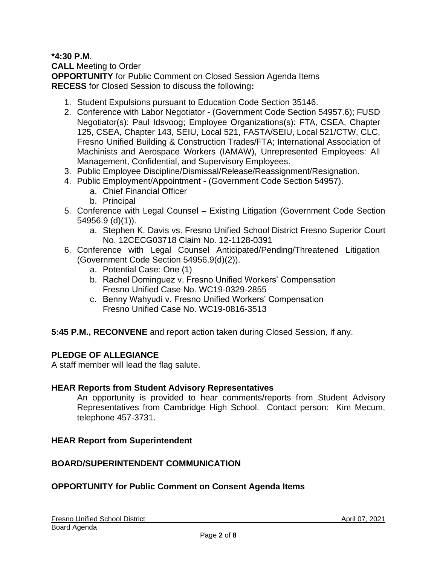## **\*4:30 P.M**.

**CALL** Meeting to Order **OPPORTUNITY** for Public Comment on Closed Session Agenda Items **RECESS** for Closed Session to discuss the following**:**

- 1. Student Expulsions pursuant to Education Code Section 35146.
- 2. Conference with Labor Negotiator (Government Code Section 54957.6); FUSD Negotiator(s): Paul Idsvoog; Employee Organizations(s): FTA, CSEA, Chapter 125, CSEA, Chapter 143, SEIU, Local 521, FASTA/SEIU, Local 521/CTW, CLC, Fresno Unified Building & Construction Trades/FTA; International Association of Machinists and Aerospace Workers (IAMAW), Unrepresented Employees: All Management, Confidential, and Supervisory Employees.
- 3. Public Employee Discipline/Dismissal/Release/Reassignment/Resignation.
- 4. Public Employment/Appointment (Government Code Section 54957).
	- a. Chief Financial Officer
	- b. Principal
- 5. Conference with Legal Counsel Existing Litigation (Government Code Section 54956.9 (d)(1)).
	- a. Stephen K. Davis vs. Fresno Unified School District Fresno Superior Court No. 12CECG03718 Claim No. 12-1128-0391
- 6. Conference with Legal Counsel Anticipated/Pending/Threatened Litigation (Government Code Section 54956.9(d)(2)).
	- a. Potential Case: One (1)
	- b. Rachel Dominguez v. Fresno Unified Workers' Compensation Fresno Unified Case No. WC19-0329-2855
	- c. Benny Wahyudi v. Fresno Unified Workers' Compensation Fresno Unified Case No. WC19-0816-3513
- **5:45 P.M., RECONVENE** and report action taken during Closed Session, if any.

## **PLEDGE OF ALLEGIANCE**

A staff member will lead the flag salute.

#### **HEAR Reports from Student Advisory Representatives**

An opportunity is provided to hear comments/reports from Student Advisory Representatives from Cambridge High School. Contact person: Kim Mecum, telephone 457-3731.

#### **HEAR Report from Superintendent**

#### **BOARD/SUPERINTENDENT COMMUNICATION**

## **OPPORTUNITY for Public Comment on Consent Agenda Items**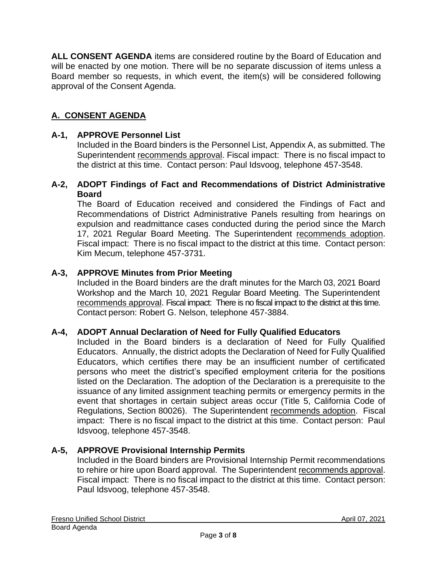**ALL CONSENT AGENDA** items are considered routine by the Board of Education and will be enacted by one motion. There will be no separate discussion of items unless a Board member so requests, in which event, the item(s) will be considered following approval of the Consent Agenda.

## **A. CONSENT AGENDA**

#### **A-1, APPROVE Personnel List**

Included in the Board binders is the Personnel List, Appendix A, as submitted. The Superintendent recommends approval. Fiscal impact: There is no fiscal impact to the district at this time. Contact person: Paul Idsvoog, telephone 457-3548.

#### **A-2, ADOPT Findings of Fact and Recommendations of District Administrative Board**

The Board of Education received and considered the Findings of Fact and Recommendations of District Administrative Panels resulting from hearings on expulsion and readmittance cases conducted during the period since the March 17, 2021 Regular Board Meeting. The Superintendent recommends adoption. Fiscal impact: There is no fiscal impact to the district at this time. Contact person: Kim Mecum, telephone 457-3731.

#### **A-3, APPROVE Minutes from Prior Meeting**

Included in the Board binders are the draft minutes for the March 03, 2021 Board Workshop and the March 10, 2021 Regular Board Meeting. The Superintendent recommends approval. Fiscal impact: There is no fiscal impact to the district at this time. Contact person: Robert G. Nelson, telephone 457-3884.

#### **A-4, ADOPT Annual Declaration of Need for Fully Qualified Educators**

Included in the Board binders is a declaration of Need for Fully Qualified Educators. Annually, the district adopts the Declaration of Need for Fully Qualified Educators, which certifies there may be an insufficient number of certificated persons who meet the district's specified employment criteria for the positions listed on the Declaration. The adoption of the Declaration is a prerequisite to the issuance of any limited assignment teaching permits or emergency permits in the event that shortages in certain subject areas occur (Title 5, California Code of Regulations, Section 80026). The Superintendent recommends adoption. Fiscal impact: There is no fiscal impact to the district at this time. Contact person: Paul Idsvoog, telephone 457-3548.

#### **A-5, APPROVE Provisional Internship Permits**

Included in the Board binders are Provisional Internship Permit recommendations to rehire or hire upon Board approval. The Superintendent recommends approval. Fiscal impact: There is no fiscal impact to the district at this time. Contact person: Paul Idsvoog, telephone 457-3548.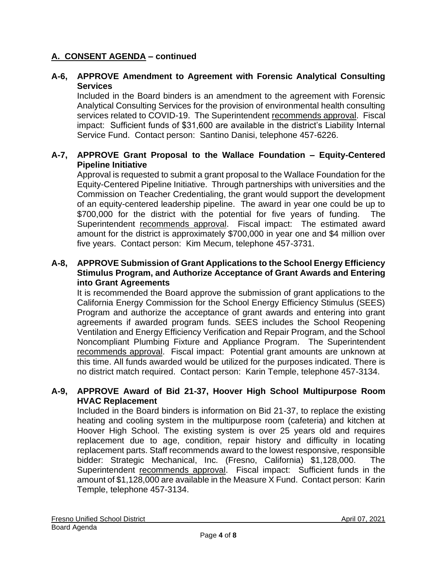## **A. CONSENT AGENDA – continued**

## **A-6, APPROVE Amendment to Agreement with Forensic Analytical Consulting Services**

Included in the Board binders is an amendment to the agreement with Forensic Analytical Consulting Services for the provision of environmental health consulting services related to COVID-19. The Superintendent recommends approval. Fiscal impact: Sufficient funds of \$31,600 are available in the district's Liability Internal Service Fund. Contact person: Santino Danisi, telephone 457-6226.

### **A-7, APPROVE Grant Proposal to the Wallace Foundation – Equity-Centered Pipeline Initiative**

Approval is requested to submit a grant proposal to the Wallace Foundation for the Equity-Centered Pipeline Initiative. Through partnerships with universities and the Commission on Teacher Credentialing, the grant would support the development of an equity-centered leadership pipeline. The award in year one could be up to \$700,000 for the district with the potential for five years of funding. The Superintendent recommends approval. Fiscal impact: The estimated award amount for the district is approximately \$700,000 in year one and \$4 million over five years. Contact person: Kim Mecum, telephone 457-3731.

#### **A-8, APPROVE Submission of Grant Applications to the School Energy Efficiency Stimulus Program, and Authorize Acceptance of Grant Awards and Entering into Grant Agreements**

It is recommended the Board approve the submission of grant applications to the California Energy Commission for the School Energy Efficiency Stimulus (SEES) Program and authorize the acceptance of grant awards and entering into grant agreements if awarded program funds. SEES includes the School Reopening Ventilation and Energy Efficiency Verification and Repair Program, and the School Noncompliant Plumbing Fixture and Appliance Program. The Superintendent recommends approval. Fiscal impact: Potential grant amounts are unknown at this time. All funds awarded would be utilized for the purposes indicated. There is no district match required. Contact person: Karin Temple, telephone 457-3134.

#### **A-9, APPROVE Award of Bid 21-37, Hoover High School Multipurpose Room HVAC Replacement**

Included in the Board binders is information on Bid 21-37, to replace the existing heating and cooling system in the multipurpose room (cafeteria) and kitchen at Hoover High School. The existing system is over 25 years old and requires replacement due to age, condition, repair history and difficulty in locating replacement parts. Staff recommends award to the lowest responsive, responsible bidder: Strategic Mechanical, Inc. (Fresno, California) \$1,128,000. The Superintendent recommends approval. Fiscal impact: Sufficient funds in the amount of \$1,128,000 are available in the Measure X Fund. Contact person: Karin Temple, telephone 457-3134.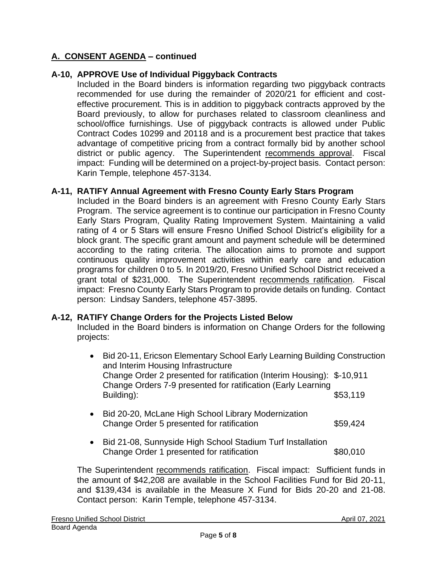## **A. CONSENT AGENDA – continued**

## **A-10, APPROVE Use of Individual Piggyback Contracts**

Included in the Board binders is information regarding two piggyback contracts recommended for use during the remainder of 2020/21 for efficient and costeffective procurement. This is in addition to piggyback contracts approved by the Board previously, to allow for purchases related to classroom cleanliness and school/office furnishings. Use of piggyback contracts is allowed under Public Contract Codes 10299 and 20118 and is a procurement best practice that takes advantage of competitive pricing from a contract formally bid by another school district or public agency. The Superintendent recommends approval. Fiscal impact: Funding will be determined on a project-by-project basis. Contact person: Karin Temple, telephone 457-3134.

## **A-11, RATIFY Annual Agreement with Fresno County Early Stars Program**

Included in the Board binders is an agreement with Fresno County Early Stars Program. The service agreement is to continue our participation in Fresno County Early Stars Program, Quality Rating Improvement System. Maintaining a valid rating of 4 or 5 Stars will ensure Fresno Unified School District's eligibility for a block grant. The specific grant amount and payment schedule will be determined according to the rating criteria. The allocation aims to promote and support continuous quality improvement activities within early care and education programs for children 0 to 5. In 2019/20, Fresno Unified School District received a grant total of \$231,000. The Superintendent recommends ratification. Fiscal impact: Fresno County Early Stars Program to provide details on funding. Contact person: Lindsay Sanders, telephone 457-3895.

## **A-12, RATIFY Change Orders for the Projects Listed Below**

Included in the Board binders is information on Change Orders for the following projects:

| $\bullet$ | Bid 20-11, Ericson Elementary School Early Learning Building Construction<br>and Interim Housing Infrastructure<br>Change Order 2 presented for ratification (Interim Housing): \$-10,911<br>Change Orders 7-9 presented for ratification (Early Learning<br>Building): | \$53,119 |
|-----------|-------------------------------------------------------------------------------------------------------------------------------------------------------------------------------------------------------------------------------------------------------------------------|----------|
|           | • Bid 20-20, McLane High School Library Modernization                                                                                                                                                                                                                   |          |

- Bid 20-20, McLane High School Library Modernization Change Order 5 presented for ratification  $$59,424$
- Bid 21-08, Sunnyside High School Stadium Turf Installation Change Order 1 presented for ratification  $$80,010$

The Superintendent recommends ratification. Fiscal impact: Sufficient funds in the amount of \$42,208 are available in the School Facilities Fund for Bid 20-11, and \$139,434 is available in the Measure X Fund for Bids 20-20 and 21-08. Contact person: Karin Temple, telephone 457-3134.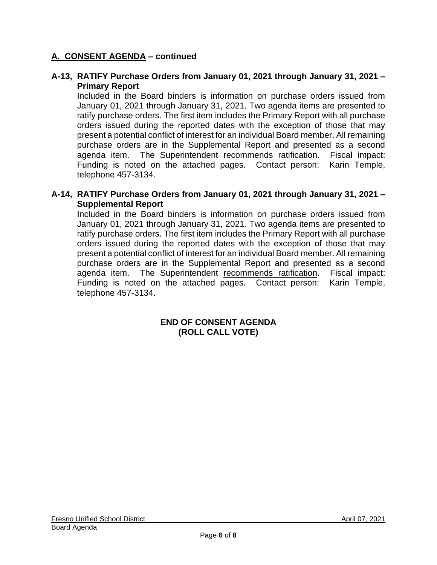## **A. CONSENT AGENDA – continued**

#### **A-13, RATIFY Purchase Orders from January 01, 2021 through January 31, 2021 – Primary Report**

Included in the Board binders is information on purchase orders issued from January 01, 2021 through January 31, 2021. Two agenda items are presented to ratify purchase orders. The first item includes the Primary Report with all purchase orders issued during the reported dates with the exception of those that may present a potential conflict of interest for an individual Board member. All remaining purchase orders are in the Supplemental Report and presented as a second agenda item. The Superintendent recommends ratification. Fiscal impact: Funding is noted on the attached pages. Contact person: Karin Temple, telephone 457-3134.

#### **A-14, RATIFY Purchase Orders from January 01, 2021 through January 31, 2021 – Supplemental Report**

Included in the Board binders is information on purchase orders issued from January 01, 2021 through January 31, 2021. Two agenda items are presented to ratify purchase orders. The first item includes the Primary Report with all purchase orders issued during the reported dates with the exception of those that may present a potential conflict of interest for an individual Board member. All remaining purchase orders are in the Supplemental Report and presented as a second agenda item. The Superintendent recommends ratification. Fiscal impact: Funding is noted on the attached pages. Contact person: Karin Temple, telephone 457-3134.

#### **END OF CONSENT AGENDA (ROLL CALL VOTE)**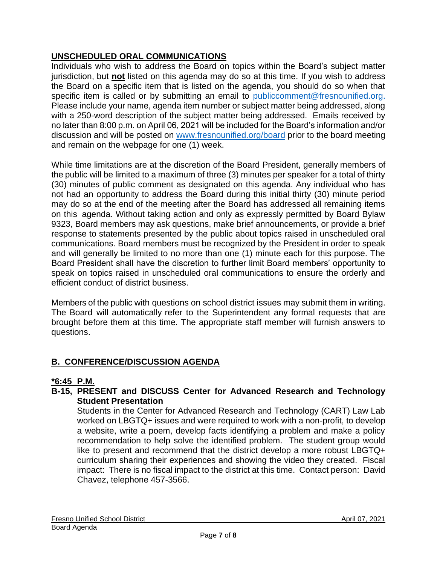## **UNSCHEDULED ORAL COMMUNICATIONS**

Individuals who wish to address the Board on topics within the Board's subject matter jurisdiction, but **not** listed on this agenda may do so at this time. If you wish to address the Board on a specific item that is listed on the agenda, you should do so when that specific item is called or by submitting an email to [publiccomment@fresnounified.org.](mailto:publiccomment@fresnounified.org) Please include your name, agenda item number or subject matter being addressed, along with a 250-word description of the subject matter being addressed. Emails received by no later than 8:00 p.m. on April 06, 2021 will be included for the Board's information and/or discussion and will be posted on [www.fresnounified.org/board](http://www.fresnounified.org/board) prior to the board meeting and remain on the webpage for one (1) week.

While time limitations are at the discretion of the Board President, generally members of the public will be limited to a maximum of three (3) minutes per speaker for a total of thirty (30) minutes of public comment as designated on this agenda. Any individual who has not had an opportunity to address the Board during this initial thirty (30) minute period may do so at the end of the meeting after the Board has addressed all remaining items on this agenda. Without taking action and only as expressly permitted by Board Bylaw 9323, Board members may ask questions, make brief announcements, or provide a brief response to statements presented by the public about topics raised in unscheduled oral communications. Board members must be recognized by the President in order to speak and will generally be limited to no more than one (1) minute each for this purpose. The Board President shall have the discretion to further limit Board members' opportunity to speak on topics raised in unscheduled oral communications to ensure the orderly and efficient conduct of district business.

Members of the public with questions on school district issues may submit them in writing. The Board will automatically refer to the Superintendent any formal requests that are brought before them at this time. The appropriate staff member will furnish answers to questions.

## **B. CONFERENCE/DISCUSSION AGENDA**

## **\*6:45 P.M.**

## **B-15, PRESENT and DISCUSS Center for Advanced Research and Technology Student Presentation**

Students in the Center for Advanced Research and Technology (CART) Law Lab worked on LBGTQ+ issues and were required to work with a non-profit, to develop a website, write a poem, develop facts identifying a problem and make a policy recommendation to help solve the identified problem. The student group would like to present and recommend that the district develop a more robust LBGTQ+ curriculum sharing their experiences and showing the video they created. Fiscal impact: There is no fiscal impact to the district at this time. Contact person: David Chavez, telephone 457-3566.